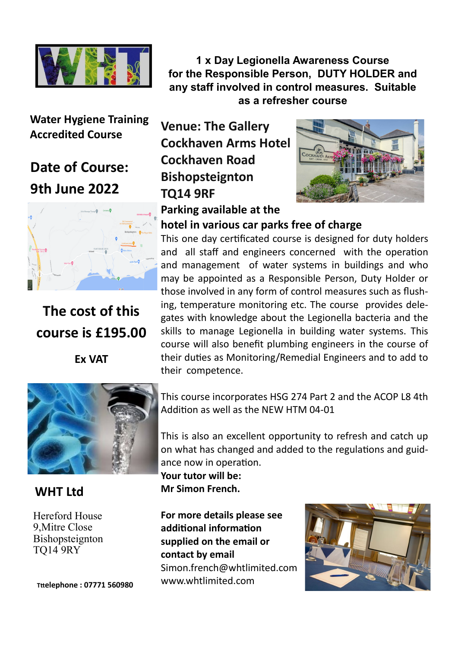

**Water Hygiene Training Accredited Course** 

# **Date of Course: 9th June 2022**



**The cost of this course is £195.00**

**Ex VAT**



## **WHT Ltd**

Hereford House 9,Mitre Close Bishopsteignton TQ14 9RY

**Tttelephone : 07771 560980**

**1 x Day Legionella Awareness Course for the Responsible Person, DUTY HOLDER and any staff involved in control measures. Suitable as a refresher course**

**Venue: The Gallery Cockhaven Arms Hotel Cockhaven Road Bishopsteignton TQ14 9RF Parking available at the** 



### **hotel in various car parks free of charge**

This one day certificated course is designed for duty holders and all staff and engineers concerned with the operation and management of water systems in buildings and who may be appointed as a Responsible Person, Duty Holder or those involved in any form of control measures such as flushing, temperature monitoring etc. The course provides delegates with knowledge about the Legionella bacteria and the skills to manage Legionella in building water systems. This course will also benefit plumbing engineers in the course of their duties as Monitoring/Remedial Engineers and to add to their competence.

This course incorporates HSG 274 Part 2 and the ACOP L8 4th Addition as well as the NEW HTM 04-01

This is also an excellent opportunity to refresh and catch up on what has changed and added to the regulations and guidance now in operation.

**Your tutor will be: Mr Simon French.** 

**For more details please see additional information supplied on the email or contact by email** Simon.french@whtlimited.com www.whtlimited.com